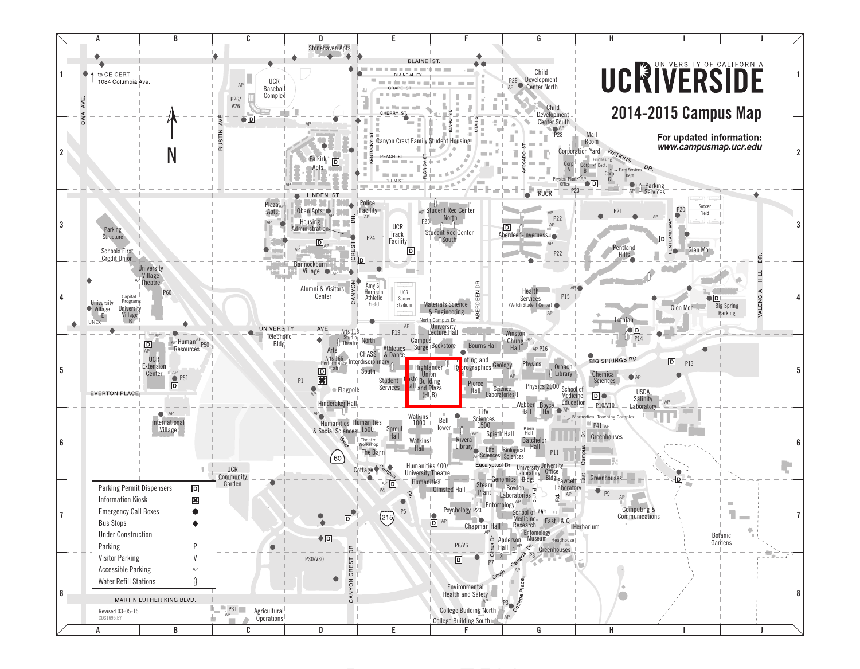